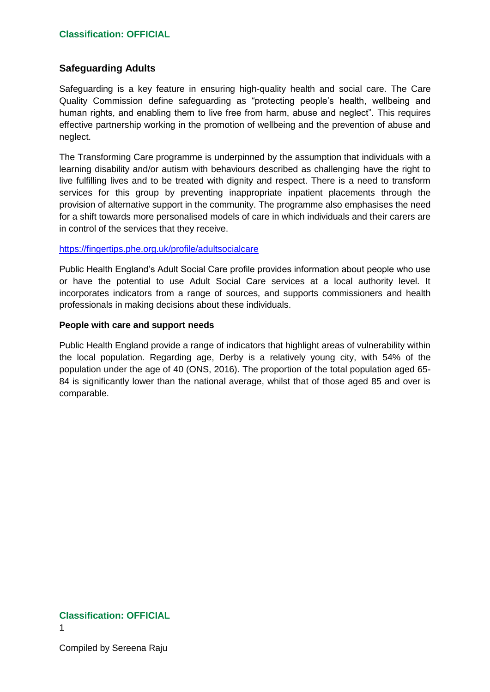# **Safeguarding Adults**

Safeguarding is a key feature in ensuring high-quality health and social care. The Care Quality Commission define safeguarding as "protecting people's health, wellbeing and human rights, and enabling them to live free from harm, abuse and neglect". This requires effective partnership working in the promotion of wellbeing and the prevention of abuse and neglect.

The Transforming Care programme is underpinned by the assumption that individuals with a learning disability and/or autism with behaviours described as challenging have the right to live fulfilling lives and to be treated with dignity and respect. There is a need to transform services for this group by preventing inappropriate inpatient placements through the provision of alternative support in the community. The programme also emphasises the need for a shift towards more personalised models of care in which individuals and their carers are in control of the services that they receive.

### <https://fingertips.phe.org.uk/profile/adultsocialcare>

Public Health England's Adult Social Care profile provides information about people who use or have the potential to use Adult Social Care services at a local authority level. It incorporates indicators from a range of sources, and supports commissioners and health professionals in making decisions about these individuals.

### **People with care and support needs**

Public Health England provide a range of indicators that highlight areas of vulnerability within the local population. Regarding age, Derby is a relatively young city, with 54% of the population under the age of 40 (ONS, 2016). The proportion of the total population aged 65- 84 is significantly lower than the national average, whilst that of those aged 85 and over is comparable.

# **Classification: OFFICIAL**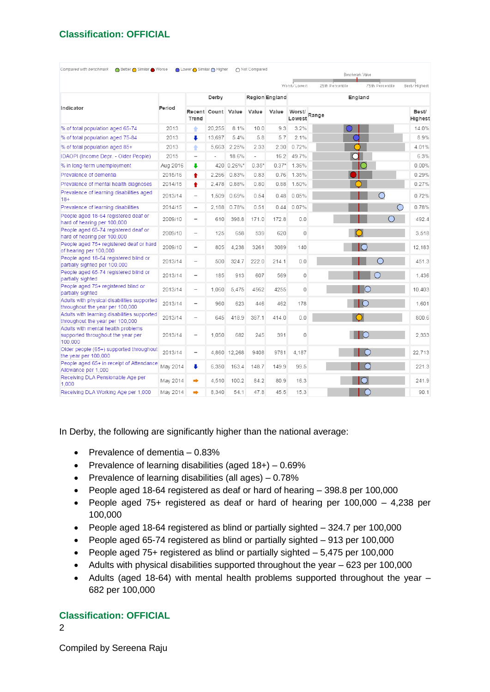| Compared with benchmark<br>O Better ● Similar ● Worse                              |          | O Lower O Similar O Higher |                    |              | ○ Not Compared           |                |                  |                 | Benchmark Value  |                     |
|------------------------------------------------------------------------------------|----------|----------------------------|--------------------|--------------|--------------------------|----------------|------------------|-----------------|------------------|---------------------|
|                                                                                    |          |                            |                    |              |                          |                | Worst/Lowest     | 25th Percentile | 75th Percentile  | Best/Highest        |
|                                                                                    |          | Derby                      |                    |              |                          | Region England | England          |                 |                  |                     |
| Indicator                                                                          | Period   | Trend                      | Recent Count Value |              | Value                    | Value          | Worst/<br>Lowest | Range           |                  | Best/<br>Highest    |
| % of total population aged 65-74                                                   | 2013     | ٠                          | 20.255             | 8.1%         | 10.0                     | 9.3            | 3.2%             |                 |                  | 14.0%               |
| % of total population aged 75-84                                                   | 2013     | ı                          | 13.697             | 5.4%         | 5.8                      | 5.7            | 2.1%             |                 |                  | 8.9%                |
| % of total population aged 85+                                                     | 2013     | ٠                          | 5.663              | 2.25%        | 2.33                     | 2.30           | 0.72%            |                 |                  | 4.01%               |
| IDAOPI (Income Depr. - Older People)                                               | 2015     | $\overline{\phantom{0}}$   |                    | 18.6%        | $\overline{\phantom{a}}$ | 16.2           | 49.7%            | ┒               |                  | 6.3%                |
| % in long-term unemployment                                                        | Aug 2016 | ı                          |                    | 420 0.26%*   | $0.35*$                  | $0.37*$        | 1.36%            |                 |                  | 0.00%               |
| Prevalence of dementia                                                             | 2015/16  | ٠                          | 2.266              | 0.83%        | 0.83                     | 0.76           | 1.35%            |                 |                  | 0.29%               |
| Prevalence of mental health diagnoses                                              | 2014/15  | ٠                          | 2,478              | 0.88%        | 0.80                     | 0.88           | 1.50%            |                 |                  | 0.27%               |
| Prevalence of learning disabilities aged<br>$18+$                                  | 2013/14  | $\overline{\phantom{a}}$   | 1,509              | 0.69%        | 0.54                     | 0.48           | 0.05%            |                 | $\bigcirc$       | 0.72%               |
| Prevalence of learning disabilities                                                | 2014/15  | $\overline{\phantom{0}}$   | 2.188              | 0.78%        | 0.51                     | 0.44           | 0.07%            |                 |                  | $\bigcirc$<br>0.78% |
| People aged 18-64 registered deaf or<br>hard of hearing per 100,000                | 2009/10  | $\overline{\phantom{0}}$   | 610                | 398.8        | 171.0                    | 172.8          | 0.0              |                 | $\left( \right)$ | 492.4               |
| People aged 65-74 registered deaf or<br>hard of hearing per 100,000                | 2009/10  |                            | 125                | 658          | 539                      | 620            | 0                |                 |                  | 3,518               |
| People aged 75+ registered deaf or hard<br>of hearing per 100,000                  | 2009/10  | $\overline{\phantom{a}}$   | 805                | 4.238        | 3261                     | 3089           | 140              |                 |                  | 12.183              |
| People aged 18-64 registered blind or<br>partially sighted per 100,000             | 2013/14  | $\overline{\phantom{0}}$   | 500                | 324.7        | 222.0                    | 214.1          | 0.0              |                 | ∩                | 451.3               |
| People aged 65-74 registered blind or<br>partially sighted                         | 2013/14  | $\overline{\phantom{0}}$   | 185                | 913          | 607                      | 569            | 0                |                 |                  | 1.436               |
| People aged 75+ registered blind or<br>partially sighted                           | 2013/14  | $\overline{\phantom{a}}$   | 1.060              | 5.475        | 4562                     | 4255           | 0                |                 |                  | 10.403              |
| Adults with physical disabilities supported<br>throughout the year per 100,000     | 2013/14  | $\overline{\phantom{0}}$   | 960                | 623          | 446                      | 462            | 178              |                 |                  | 1,601               |
| Adults with learning disabilities supported<br>throughout the year per 100,000     | 2013/14  | $\overline{a}$             | 645                | 418.9        | 387.1                    | 414.0          | 0.0              |                 |                  | 800.6               |
| Adults with mental health problems<br>supported throughout the year per<br>100,000 | 2013/14  | -                          | 1,050              | 682          | 245                      | 391            | 0                |                 |                  | 2.333               |
| Older people (65+) supported throughout<br>the year per 100,000                    | 2013/14  | $\overline{\phantom{0}}$   |                    | 4,860 12,268 | 9408                     | 9781           | 4.187            |                 |                  | 22.713              |
| People aged 65+ in receipt of Attendance<br>Allowance per 1,000                    | May 2014 | ÷                          | 6,350              | 163.4        | 148.7                    | 149.9          | 99.5             |                 | $\overline{C}$   | 221.3               |
| Receiving DLA Pensionable Age per<br>1,000                                         | May 2014 | ∙                          | 4.510              | 100.2        | 84.2                     | 80.9           | 16.3             |                 |                  | 241.9               |
| Receiving DLA Working Age per 1,000                                                | May 2014 | ⇒                          | 8.340              | 54.1         | 47.8                     | 45.5           | 15.3             |                 | ○                | 90.1                |

In Derby, the following are significantly higher than the national average:

- Prevalence of dementia  $-0.83%$
- Prevalence of learning disabilities (aged  $18+$ ) 0.69%
- **•** Prevalence of learning disabilities (all ages)  $-0.78%$
- People aged 18-64 registered as deaf or hard of hearing 398.8 per 100,000
- People aged 75+ registered as deaf or hard of hearing per 100,000 4,238 per 100,000
- People aged 18-64 registered as blind or partially sighted 324.7 per 100,000
- People aged 65-74 registered as blind or partially sighted 913 per 100,000
- People aged 75+ registered as blind or partially sighted 5,475 per 100,000
- Adults with physical disabilities supported throughout the year 623 per 100,000
- Adults (aged 18-64) with mental health problems supported throughout the year 682 per 100,000

# **Classification: OFFICIAL**

2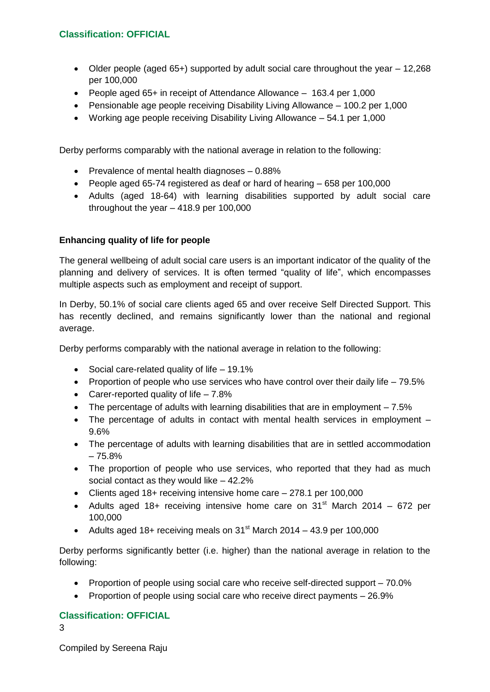- Older people (aged 65+) supported by adult social care throughout the year 12,268 per 100,000
- People aged 65+ in receipt of Attendance Allowance 163.4 per 1,000
- Pensionable age people receiving Disability Living Allowance 100.2 per 1,000
- Working age people receiving Disability Living Allowance 54.1 per 1,000

Derby performs comparably with the national average in relation to the following:

- $\bullet$  Prevalence of mental health diagnoses  $-0.88\%$
- People aged 65-74 registered as deaf or hard of hearing 658 per 100,000
- Adults (aged 18-64) with learning disabilities supported by adult social care throughout the year – 418.9 per 100,000

# **Enhancing quality of life for people**

The general wellbeing of adult social care users is an important indicator of the quality of the planning and delivery of services. It is often termed "quality of life", which encompasses multiple aspects such as employment and receipt of support.

In Derby, 50.1% of social care clients aged 65 and over receive Self Directed Support. This has recently declined, and remains significantly lower than the national and regional average.

Derby performs comparably with the national average in relation to the following:

- Social care-related quality of life  $-19.1\%$
- Proportion of people who use services who have control over their daily life 79.5%
- Carer-reported quality of life  $-7.8%$
- The percentage of adults with learning disabilities that are in employment 7.5%
- The percentage of adults in contact with mental health services in employment 9.6%
- The percentage of adults with learning disabilities that are in settled accommodation – 75.8%
- The proportion of people who use services, who reported that they had as much social contact as they would like – 42.2%
- Clients aged 18+ receiving intensive home care 278.1 per 100,000
- Adults aged 18+ receiving intensive home care on 31<sup>st</sup> March 2014 672 per 100,000
- Adults aged 18+ receiving meals on 31 $\mathrm{^{st}}$  March 2014 43.9 per 100,000

Derby performs significantly better (i.e. higher) than the national average in relation to the following:

- Proportion of people using social care who receive self-directed support 70.0%
- Proportion of people using social care who receive direct payments 26.9%

# **Classification: OFFICIAL**

3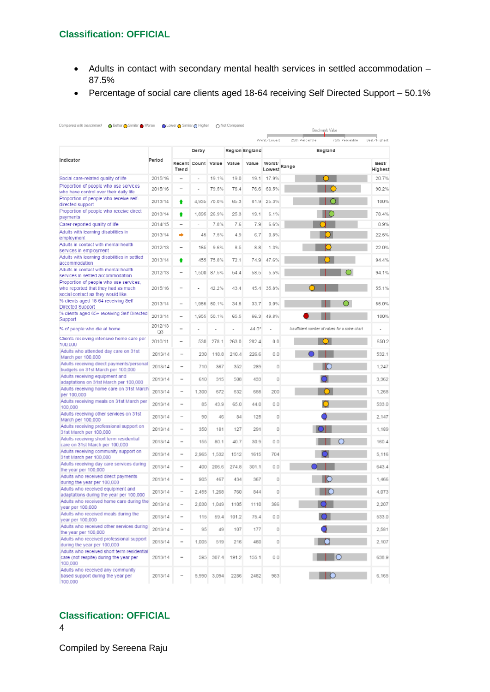- Adults in contact with secondary mental health services in settled accommodation 87.5%
- Percentage of social care clients aged 18-64 receiving Self Directed Support 50.1%

|                                                                                                                   |               |                              |                          |             |       |                       |                        |                 | Benchmark Value                                 |                  |
|-------------------------------------------------------------------------------------------------------------------|---------------|------------------------------|--------------------------|-------------|-------|-----------------------|------------------------|-----------------|-------------------------------------------------|------------------|
|                                                                                                                   |               |                              | Derby                    |             |       | <b>Region England</b> | Worst/Lowest           | 25th Percentile | 75th Percentile<br>England                      | Best/Highest     |
| Indicator                                                                                                         | Period        |                              |                          |             |       |                       |                        |                 |                                                 |                  |
|                                                                                                                   |               | Recent Count<br>Trend        |                          | Value       | Value | Value                 | Worst/<br>Lowest Range |                 |                                                 | Best/<br>Highest |
| Social care-related quality of life                                                                               | 2015/16       | $\overline{\phantom{a}}$     | $\overline{\phantom{a}}$ | 19.1%       | 19.0  | 19.1                  | 17.9%                  |                 |                                                 | 20.7%            |
| Proportion of people who use services<br>who have control over their daily life                                   | 2015/16       |                              |                          | 79.5%       | 76.4  | 76.6                  | 60.5%                  |                 |                                                 | 90.2%            |
| Proportion of people who receive self-<br>directed support                                                        | 2013/14       | ٠                            |                          | 4,935 70.0% | 65.3  | 61.9                  | 25.3%                  |                 |                                                 | 100%             |
| Proportion of people who receive direct<br>payments                                                               | 2013/14       | ŧ                            | 1,895                    | 26.9%       | 25.3  | 19.1                  | 6.1%                   |                 |                                                 | 78.4%            |
| Carer-reported quality of life                                                                                    | 2014/15       |                              |                          | 7.8%        | 7.6   | 7.9                   | 6.6%                   |                 |                                                 | 8.9%             |
| Adults with learning disabilities in<br>employment                                                                | 2013/14       | ∙                            | 45                       | 7.5%        | 4.9   | 6.7                   | 0.8%                   |                 |                                                 | 22.5%            |
| Adults in contact with mental health<br>services in employment                                                    | 2012/13       | $\overline{\phantom{0}}$     | 165                      | 9.6%        | 8.5   | 8.8                   | 1.3%                   |                 |                                                 | 22.0%            |
| Adults with learning disabilities in settled<br>accommodation                                                     | 2013/14       | ٠                            | 455                      | 75.8%       | 72.1  | 74.9                  | 47.6%                  |                 |                                                 | 94.4%            |
| Adults in contact with mental health<br>services in settled accommodation                                         | 2012/13       |                              | 1,500                    | 87.5%       | 54.4  | 58.5                  | 5.5%                   |                 |                                                 | 94.1%            |
| Proportion of people who use services,<br>who reported that they had as much<br>social contact as they would like | 2015/16       | $\overline{\phantom{a}}$     |                          | 42.2%       | 43.4  | 45.4                  | 35.8%                  |                 |                                                 | 55.1%            |
| % clients aged 18-64 receiving Self<br>Directed Support                                                           | 2013/14       | $\overline{\phantom{0}}$     | 1.955                    | 50.1%       | 34.5  | 33.7                  | 0.0%                   |                 |                                                 | 55.0%            |
| % clients aged 65+ receiving Self Directed<br>Support                                                             | 2013/14       | $\overline{\phantom{a}}$     | 1,955                    | 50.1%       | 65.5  | 66.3                  | 49.8%                  |                 |                                                 | 100%             |
| % of people who die at home                                                                                       | 2012/13<br>Q3 | $\overline{\phantom{a}}$     |                          |             |       | $44.0^*$              |                        |                 | Insufficient number of values for a spine chart |                  |
| Clients receiving intensive home care per<br>100,000                                                              | 2010/11       | $\overline{\phantom{0}}$     | 530                      | 278.1       | 263.0 | 282.4                 | 0.0                    |                 |                                                 | 650.2            |
| Adults who attended day care on 31st<br>March per 100,000                                                         | 2013/14       | $\qquad \qquad$              | 230                      | 118.8       | 210.4 | 226.6                 | 0.0                    |                 |                                                 | 532.1            |
| Adults receiving direct payments/personal<br>budgets on 31st March per 100,000                                    | 2013/14       | $\qquad \qquad =$            | 710                      | 367         | 352   | 289                   | 0                      |                 |                                                 | 1,247            |
| Adults receiving equipment and<br>adaptations on 31st March per 100,000                                           | 2013/14       | $\sim$                       | 610                      | 315         | 508   | 433                   | 0                      |                 |                                                 | 3,362            |
| Adults receiving home care on 31st March<br>per 100,000                                                           | 2013/14       |                              | 1,300                    | 672         | 632   | 658                   | 200                    |                 |                                                 | 1.268            |
| Adults receiving meals on 31st March per<br>100,000                                                               | 2013/14       | $\overline{\phantom{0}}$     | 85                       | 43.9        | 65.0  | 44.0                  | 0.0                    |                 |                                                 | 533.0            |
| Adults receiving other services on 31st<br>March per 100,000                                                      | 2013/14       | $\overline{\phantom{0}}$     | 90                       | 46          | 84    | 125                   | 0                      |                 |                                                 | 2.147            |
| Adults receiving professional support on<br>31st March per 100,000                                                | 2013/14       | $\overline{\phantom{0}}$     | 350                      | 181         | 127   | 291                   | 0                      |                 |                                                 | 1.189            |
| Adults receiving short term residential<br>care on 31st March per 100,000                                         | 2013/14       | $\overline{\phantom{a}}$     | 155                      | 80.1        | 40.7  | 30.9                  | 0.0                    |                 |                                                 | 160.4            |
| Adults receiving community support on<br>31st March per 100,000                                                   | 2013/14       | $\overline{\phantom{a}}$     | 2,965                    | 1,532       | 1512  | 1615                  | 704                    |                 |                                                 | 5,116            |
| Adults receiving day care services during<br>the year per 100,000                                                 | 2013/14       | $\overline{\phantom{a}}$     | 400                      | 206.6       | 274.8 | 301.1                 | 0.0                    |                 |                                                 | 643.4            |
| Adults who received direct payments<br>during the year per 100,000                                                | 2013/14       | ۰                            | 905                      | 467         | 434   | 367                   | 0                      |                 |                                                 | 1.466            |
| Adults who received equipment and<br>adaptations during the year per 100,000                                      | 2013/14       | $\overline{\phantom{0}}$     | 2,455                    | 1,268       | 760   | 844                   | 0                      |                 |                                                 | 4.073            |
| Adults who received home care during the<br>year per 100,000                                                      | 2013/14       |                              | 2.030                    | 1.049       | 1105  | 1110                  | 386                    |                 |                                                 | 2.207            |
| Adults who received meals during the<br>year per 100,000                                                          | 2013/14       | $\qquad \qquad \blacksquare$ | 115                      | 59.4        | 101.2 | 75.4                  | 0.0                    |                 |                                                 | 533.0            |
| Adults who received other services during<br>the year per 100,000                                                 | 2013/14       | $\qquad \qquad =$            | 95                       | 49          | 107   | 177                   | 0                      |                 |                                                 | 2,581            |
| Adults who received professional support<br>during the year per 100,000                                           | 2013/14       | $\,$                         | 1,005                    | 519         | 216   | 460                   | 0                      |                 |                                                 | 2,107            |
| Adults who received short term residential<br>care (not respite) during the year per<br>100,000                   | 2013/14       | $\overline{\phantom{a}}$     | 595                      | 307.4       | 191.2 | 155.1                 | 0.0                    |                 | $\circ$                                         | 638.9            |
| Adults who received any community<br>based support during the year per<br>100,000                                 | 2013/14       | $\qquad \qquad =$            |                          | 5,990 3,094 | 2286  | 2482                  | 983                    |                 |                                                 | 6,165            |

# **Classification: OFFICIAL**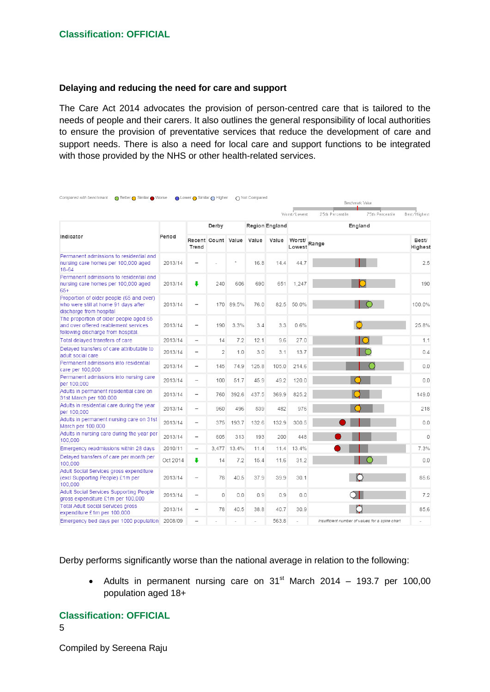#### **Delaying and reducing the need for care and support**

The Care Act 2014 advocates the provision of person-centred care that is tailored to the needs of people and their carers. It also outlines the general responsibility of local authorities to ensure the provision of preventative services that reduce the development of care and support needs. There is also a need for local care and support functions to be integrated with those provided by the NHS or other health-related services.

| Compared with benchmark<br>O Better ● Similar ● Worse                                                                |          | O Lower O Similar O Higher |                    |         | Not Compared |                |                  | Benchmark Value                                 |                  |  |
|----------------------------------------------------------------------------------------------------------------------|----------|----------------------------|--------------------|---------|--------------|----------------|------------------|-------------------------------------------------|------------------|--|
|                                                                                                                      |          |                            |                    |         |              |                | Worst/Lowest     | 25th Percentile<br>75th Percentile              | Best/Highest     |  |
|                                                                                                                      |          | Derby                      |                    |         |              | Region England |                  | England                                         |                  |  |
| Indicator                                                                                                            | Period   | Trend                      | Recent Count Value |         | Value        | Value          | Worst/<br>Lowest | Range                                           | Best/<br>Highest |  |
| Permanent admissions to residential and<br>nursing care homes per 100,000 aged<br>18-64                              | 2013/14  | $\overline{\phantom{a}}$   |                    | $\star$ | 16.8         | 14.4           | 44.7             |                                                 | 2.5              |  |
| Permanent admissions to residential and<br>nursing care homes per 100,000 aged<br>$65+$                              | 2013/14  | ÷                          | 240                | 606     | 690          | 651            | 1,247            |                                                 | 190              |  |
| Proportion of older people (65 and over)<br>who were still at home 91 days after<br>discharge from hospital          | 2013/14  | $\overline{\phantom{a}}$   | 170                | 89.5%   | 76.0         | 82.5           | 50.0%            |                                                 | 100.0%           |  |
| The proportion of older people aged 65<br>and over offered reablement services<br>following discharge from hospital. | 2013/14  |                            | 190                | 3.3%    | 3.4          | 3.3            | 0.6%             |                                                 | 25.8%            |  |
| Total delayed transfers of care                                                                                      | 2013/14  | $\overline{\phantom{a}}$   | 14                 | 7.2     | 12.1         | 9.6            | 27.0             |                                                 | 1.1              |  |
| Delayed transfers of care attributable to<br>adult social care                                                       | 2013/14  | $\qquad \qquad$            | $\overline{2}$     | 1.0     | 3.0          | 3.1            | 13.7             |                                                 | 0.4              |  |
| Permanent admissions into residential<br>care per 100,000                                                            | 2013/14  |                            | 145                | 74.9    | 125.8        | 105.0          | 214.6            |                                                 | 0.0              |  |
| Permanent admissions into nursing care<br>per 100,000                                                                | 2013/14  | $\overline{\phantom{a}}$   | 100                | 51.7    | 45.9         | 49.2           | 120.0            |                                                 | 0.0              |  |
| Adults in permanent residential care on<br>31st March per 100,000                                                    | 2013/14  | $\overline{\phantom{a}}$   | 760                | 392.6   | 437.5        | 369.9          | 825.2            |                                                 | 149.0            |  |
| Adults in residential care during the year<br>per 100,000                                                            | 2013/14  | $\overline{\phantom{m}}$   | 960                | 496     | 539          | 482            | 976              |                                                 | 218              |  |
| Adults in permanent nursing care on 31st<br>March per 100,000                                                        | 2013/14  | $\overline{\phantom{0}}$   | 375                | 193.7   | 132.6        | 132.9          | 300.5            |                                                 | 0.0              |  |
| Adults in nursing care during the year per<br>100,000                                                                | 2013/14  | $\overline{\phantom{a}}$   | 605                | 313     | 193          | 200            | 448              |                                                 | $\Omega$         |  |
| Emergency readmissions within 28 days                                                                                | 2010/11  | $\overline{\phantom{m}}$   | 3,477              | 13.4%   | 11.4         | 11.4           | 13.4%            |                                                 | 7.3%             |  |
| Delayed transfers of care per month per<br>100,000                                                                   | Oct 2014 | ÷                          | 14                 | 7.2     | 15.4         | 11.6           | 31.2             |                                                 | 0.0              |  |
| Adult Social Services gross expenditure<br>(excl Supporting People) £1m per<br>100,000                               | 2013/14  | $\overline{\phantom{a}}$   | 78                 | 40.5    | 37.9         | 39.9           | 30.1             | O                                               | 85.6             |  |
| Adult Social Services Supporting People<br>gross expenditure £1m per 100,000                                         | 2013/14  | $\overline{\phantom{0}}$   | 0                  | 0.0     | 0.9          | 0.9            | 0.0              | $\cap$ I                                        | 7.2              |  |
| <b>Total Adult Social Services gross</b><br>expenditure £1m per 100,000                                              | 2013/14  |                            | 78                 | 40.5    | 38.8         | 40.7           | 30.9             |                                                 | 85.6             |  |
| Emergency bed days per 1000 population                                                                               | 2008/09  |                            |                    |         |              | 563.8          |                  | Insufficient number of values for a spine chart |                  |  |

Derby performs significantly worse than the national average in relation to the following:

• Adults in permanent nursing care on  $31<sup>st</sup>$  March 2014 – 193.7 per 100,00 population aged 18+

### **Classification: OFFICIAL**

5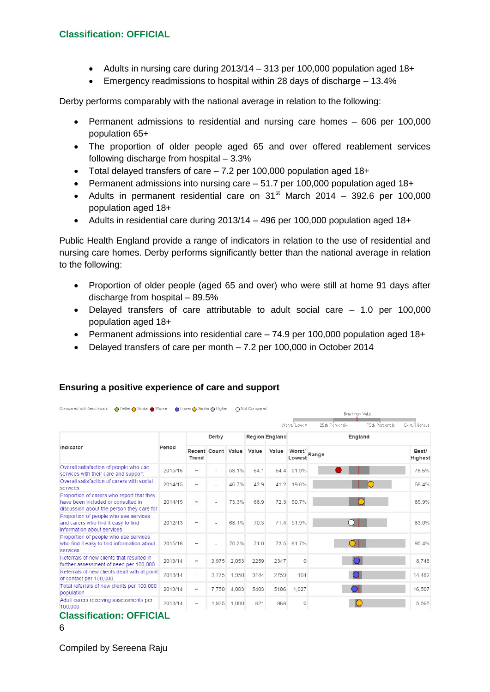- Adults in nursing care during 2013/14 313 per 100,000 population aged 18+
- Emergency readmissions to hospital within 28 days of discharge 13.4%

Derby performs comparably with the national average in relation to the following:

- Permanent admissions to residential and nursing care homes 606 per 100,000 population 65+
- The proportion of older people aged 65 and over offered reablement services following discharge from hospital – 3.3%
- Total delayed transfers of care 7.2 per 100,000 population aged 18+
- Permanent admissions into nursing care 51.7 per 100,000 population aged 18+
- Adults in permanent residential care on  $31<sup>st</sup>$  March 2014 392.6 per 100,000 population aged 18+
- Adults in residential care during 2013/14 496 per 100,000 population aged 18+

Public Health England provide a range of indicators in relation to the use of residential and nursing care homes. Derby performs significantly better than the national average in relation to the following:

- Proportion of older people (aged 65 and over) who were still at home 91 days after discharge from hospital – 89.5%
- Delayed transfers of care attributable to adult social care 1.0 per 100,000 population aged 18+
- Permanent admissions into residential care 74.9 per 100,000 population aged 18+
- Delayed transfers of care per month 7.2 per 100,000 in October 2014

| Compared with benchmark<br>Better Similar Worse                                                                              |         | O Lower O Similar O Higher |                          |       | ∩ Not Compared |       |                                                                               | Benchmark Value |                  |  |
|------------------------------------------------------------------------------------------------------------------------------|---------|----------------------------|--------------------------|-------|----------------|-------|-------------------------------------------------------------------------------|-----------------|------------------|--|
| Indicator                                                                                                                    | Period  | Derby                      |                          |       | Region England |       | 75th Percentile<br>Worst/Lowest<br>25th Percentile<br>Best/Highest<br>England |                 |                  |  |
|                                                                                                                              |         | Trend                      | Recent Count Value       |       | Value          | Value | Worst/<br>Lowest                                                              | Range           | Best/<br>Highest |  |
| Overall satisfaction of people who use<br>services with their care and support                                               | 2015/16 | $\overline{\phantom{0}}$   |                          | 58.1% | 64.1           | 64.4  | 51.9%                                                                         |                 | 78.6%            |  |
| Overall satisfaction of carers with social<br>services                                                                       | 2014/15 | $\overline{\phantom{a}}$   | $\overline{\phantom{a}}$ | 46.7% | 42.9           | 41.2  | 19.6%                                                                         |                 | 56.4%            |  |
| Proportion of carers who report that they<br>have been included or consulted in<br>discussion about the person they care for | 2014/15 | -                          |                          | 73.3% | 68.9           | 72.3  | 50.7%                                                                         |                 | 85.9%            |  |
| Proportion of people who use services<br>and carers who find it easy to find<br>information about services                   | 2012/13 |                            |                          | 68.1% | 70.3           |       | 71.4 51.9%                                                                    |                 | 83.0%            |  |
| Proportion of people who use services<br>who find it easy to find information about<br>services                              | 2015/16 |                            |                          | 70.2% | 710            |       | 73.5 61.7%                                                                    |                 | 95 4%            |  |
| Referrals of new clients that resulted in<br>further assessment of need per 100,000                                          | 2013/14 |                            | 3.975                    | 2,053 | 2259           | 2347  | $\Omega$                                                                      |                 | 8.748            |  |
| Referrals of new clients dealt with at point<br>of contact per 100,000                                                       | 2013/14 |                            | 3.775                    | 1.950 | 3144           | 2759  | 104                                                                           |                 | 14.482           |  |
| Total referrals of new clients per 100,000<br>population                                                                     | 2013/14 | $\overline{\phantom{a}}$   | 7.750                    | 4.003 | 5403           | 5106  | 1,027                                                                         |                 | 16.507           |  |
| Adult carers receiving assessments per<br>100,000                                                                            | 2013/14 | $\overline{\phantom{a}}$   | 1.935                    | 1.000 | 821            | 968   | $\circ$                                                                       |                 | 5.565            |  |

# **Ensuring a positive experience of care and support**

# **Classification: OFFICIAL**

<sup>6</sup>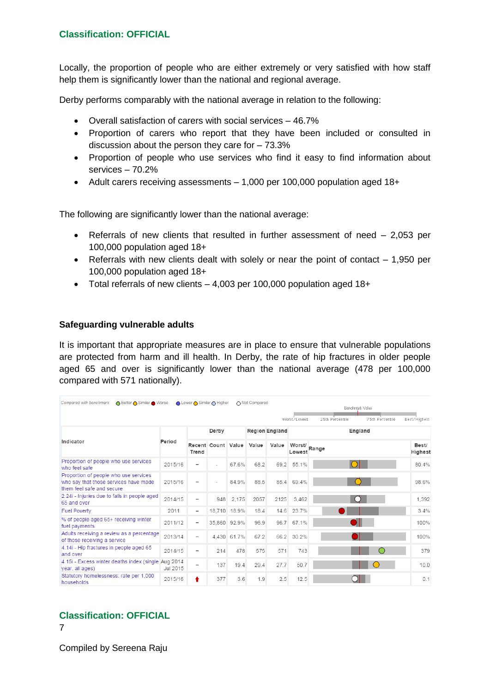Locally, the proportion of people who are either extremely or very satisfied with how staff help them is significantly lower than the national and regional average.

Derby performs comparably with the national average in relation to the following:

- Overall satisfaction of carers with social services 46.7%
- Proportion of carers who report that they have been included or consulted in discussion about the person they care for – 73.3%
- Proportion of people who use services who find it easy to find information about services – 70.2%
- Adult carers receiving assessments 1,000 per 100,000 population aged 18+

The following are significantly lower than the national average:

- Referrals of new clients that resulted in further assessment of need 2,053 per 100,000 population aged 18+
- Referrals with new clients dealt with solely or near the point of contact  $-1,950$  per 100,000 population aged 18+
- Total referrals of new clients 4,003 per 100,000 population aged 18+

#### **Safeguarding vulnerable adults**

It is important that appropriate measures are in place to ensure that vulnerable populations are protected from harm and ill health. In Derby, the rate of hip fractures in older people aged 65 and over is significantly lower than the national average (478 per 100,000 compared with 571 nationally).

| Compared with benchmark<br>◯ Better ◯ Similar ● Worse                                                       |          | O Lower O Similar O Higher   |                    |              | ∩ Not Compared |                | Benchmark Value<br>25th Percentile<br>75th Percentile<br>Worst/Lowest |  |  |                  |  |  |  |
|-------------------------------------------------------------------------------------------------------------|----------|------------------------------|--------------------|--------------|----------------|----------------|-----------------------------------------------------------------------|--|--|------------------|--|--|--|
| Indicator                                                                                                   |          | Derby                        |                    |              |                | Region England | Best/Highest<br>England                                               |  |  |                  |  |  |  |
|                                                                                                             | Period   | Trend                        | Recent Count Value |              | Value          | Value          | Worst/Range<br>Lowest                                                 |  |  | Best/<br>Highest |  |  |  |
| Proportion of people who use services<br>who feel safe                                                      | 2015/16  | $\overline{\phantom{a}}$     |                    | 67.6%        | 68.2           | 69.2           | 55.1%                                                                 |  |  | 80.4%            |  |  |  |
| Proportion of people who use services<br>who say that those services have made<br>them feel safe and secure | 2015/16  |                              |                    | 84.9%        | 88.5           |                | 85.4 69.4%                                                            |  |  | 98.6%            |  |  |  |
| 2.24i - Injuries due to falls in people aged<br>65 and over                                                 | 2014/15  | $\overline{\phantom{a}}$     | 948                | 2.175        | 2057           | 2125           | 3.462                                                                 |  |  | 1.392            |  |  |  |
| <b>Fuel Poverty</b>                                                                                         | 2011     | $\qquad \qquad \blacksquare$ |                    | 18.710 18.9% | 18.4           | 14.6           | 23.7%                                                                 |  |  | 3.4%             |  |  |  |
| % of people aged 65+ receiving winter<br>fuel payments                                                      | 2011/12  | -                            |                    | 35,860 92.9% | 96.9           | 96.7           | 67.1%                                                                 |  |  | 100%             |  |  |  |
| Adults receiving a review as a percentage<br>of those receiving a service                                   | 2013/14  | $\qquad \qquad$              |                    | 4.430 61.7%  | 67.2           | 66.2           | 30.2%                                                                 |  |  | 100%             |  |  |  |
| 4.14i - Hip fractures in people aged 65<br>and over                                                         | 2014/15  | $\qquad \qquad$              | 214                | 478          | 575            | 571            | 743                                                                   |  |  | 379              |  |  |  |
| 4.15i - Excess winter deaths index (single Aug 2014<br>year, all ages)                                      | Jul 2015 | $\overline{\phantom{a}}$     | 137                | 19.4         | 29.4           | 27.7           | 50.7                                                                  |  |  | 10.0             |  |  |  |
| Statutory homelessness: rate per 1,000<br>households                                                        | 2015/16  | ٠                            | 377                | 3.6          | 1.9            | 2.5            | 12.5                                                                  |  |  | 0.1              |  |  |  |

# **Classification: OFFICIAL**

7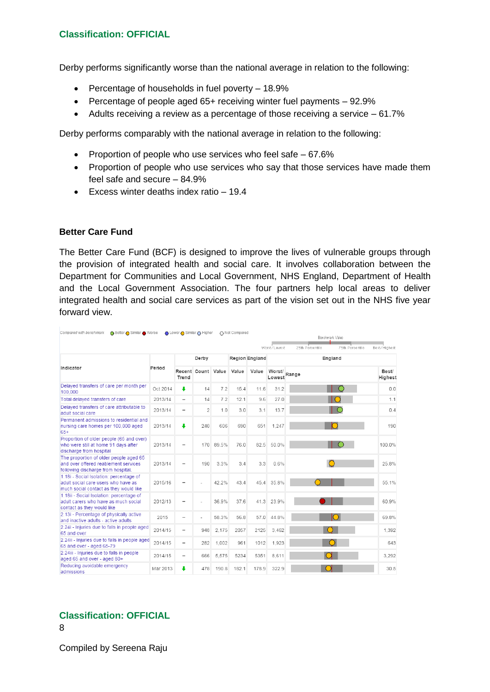Derby performs significantly worse than the national average in relation to the following:

- Percentage of households in fuel poverty 18.9%
- Percentage of people aged 65+ receiving winter fuel payments 92.9%
- Adults receiving a review as a percentage of those receiving a service 61.7%

Derby performs comparably with the national average in relation to the following:

- Proportion of people who use services who feel safe  $-67.6\%$
- Proportion of people who use services who say that those services have made them feel safe and secure – 84.9%
- Excess winter deaths index ratio 19.4

#### **Better Care Fund**

The Better Care Fund (BCF) is designed to improve the lives of vulnerable groups through the provision of integrated health and social care. It involves collaboration between the Department for Communities and Local Government, NHS England, Department of Health and the Local Government Association. The four partners help local areas to deliver integrated health and social care services as part of the vision set out in the NHS five year forward view.

| O Better O Similar ● Worse<br>Compared with benchmark                                                                    |          |                          | in Lower in Similar ∩ Higher<br>∩ Not Compared<br>Benchmark Value |       |       |                |                        |                 |                 |                  |
|--------------------------------------------------------------------------------------------------------------------------|----------|--------------------------|-------------------------------------------------------------------|-------|-------|----------------|------------------------|-----------------|-----------------|------------------|
|                                                                                                                          |          |                          |                                                                   |       |       |                | Worst/Lowest           | 25th Percentile | 75th Percentile | Best/Highest     |
| Indicator                                                                                                                | Period   | Derby                    |                                                                   |       |       | Region England | England                |                 |                 |                  |
|                                                                                                                          |          | Trend                    | Recent Count Value                                                |       | Value | Value          | Worst/<br>Lowest Range |                 |                 | Best/<br>Highest |
| Delayed transfers of care per month per<br>100,000                                                                       | Oct 2014 | ı                        | 14                                                                | 7.2   | 15.4  | 11.6           | 31.2                   |                 |                 | 0.0              |
| Total delayed transfers of care                                                                                          | 2013/14  | $\overline{\phantom{0}}$ | 14                                                                | 7.2   | 12.1  | 9.6            | 27.0                   |                 |                 | 1.1              |
| Delayed transfers of care attributable to<br>adult social care                                                           | 2013/14  | -                        | $\overline{2}$                                                    | 1.0   | 3.0   | 3.1            | 13.7                   |                 | $\subset$       | 0.4              |
| Permanent admissions to residential and<br>nursing care homes per 100,000 aged<br>65+                                    | 2013/14  | ÷                        | 240                                                               | 606   | 690   | 651            | 1,247                  |                 |                 | 190              |
| Proportion of older people (65 and over)<br>who were still at home 91 days after<br>discharge from hospital              | 2013/14  | $\overline{a}$           | 170                                                               | 89.5% | 76.0  | 82.5           | 50.0%                  |                 |                 | 100.0%           |
| The proportion of older people aged 65<br>and over offered reablement services<br>following discharge from hospital.     | 2013/14  | $\overline{\phantom{0}}$ | 190                                                               | 3.3%  | 3.4   | 3.3            | 0.6%                   |                 |                 | 25.8%            |
| 1.18i - Social Isolation: percentage of<br>adult social care users who have as<br>much social contact as they would like | 2015/16  | -                        |                                                                   | 42.2% | 43.4  |                | 45.4 35.8%             |                 |                 | 55.1%            |
| 1.18ii - Social Isolation: percentage of<br>adult carers who have as much social<br>contact as they would like           | 2012/13  |                          |                                                                   | 36.9% | 37.6  |                | 41.3 23.9%             |                 |                 | 60.9%            |
| 2.13i - Percentage of physically active<br>and inactive adults - active adults                                           | 2015     | $\overline{\phantom{0}}$ | L.                                                                | 58.3% | 56.8  | 57.0           | 44.8%                  |                 |                 | 69.8%            |
| 2.24i - Injuries due to falls in people aged<br>65 and over                                                              | 2014/15  | -                        | 948                                                               | 2,175 | 2057  | 2125           | 3.462                  |                 |                 | 1,392            |
| 2.24ii - Injuries due to falls in people aged<br>65 and over - aged 65-79                                                | 2014/15  | -                        | 282                                                               | 1,002 | 961   | 1012           | 1.923                  |                 |                 | 643              |
| 2.24iii - Injuries due to falls in people<br>aged 65 and over - aged 80+                                                 | 2014/15  | $\overline{\phantom{a}}$ | 666                                                               | 5,575 | 5234  | 5351           | 8.611                  |                 |                 | 3,292            |
| Reducing avoidable emergency<br>admissions                                                                               | Mar 2013 | ı                        | 478                                                               | 190.8 | 182.1 | 178.9          | 322.9                  |                 |                 | 30.5             |

**Classification: OFFICIAL**